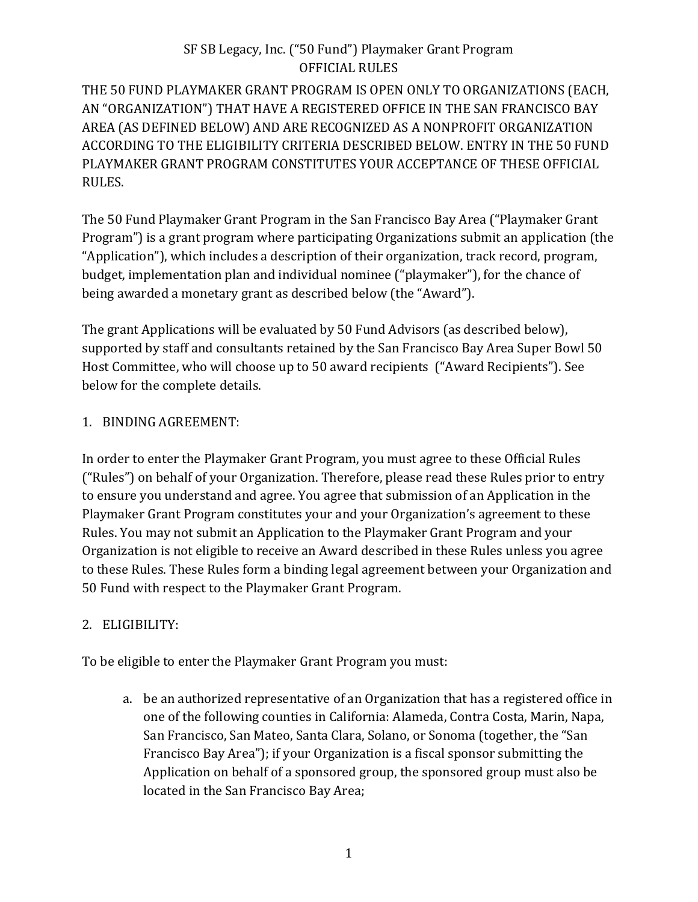THE 50 FUND PLAYMAKER GRANT PROGRAM IS OPEN ONLY TO ORGANIZATIONS (EACH, AN "ORGANIZATION") THAT HAVE A REGISTERED OFFICE IN THE SAN FRANCISCO BAY AREA (AS DEFINED BELOW) AND ARE RECOGNIZED AS A NONPROFIT ORGANIZATION ACCORDING TO THE ELIGIBILITY CRITERIA DESCRIBED BELOW. ENTRY IN THE 50 FUND PLAYMAKER GRANT PROGRAM CONSTITUTES YOUR ACCEPTANCE OF THESE OFFICIAL RULES.

The 50 Fund Playmaker Grant Program in the San Francisco Bay Area ("Playmaker Grant Program") is a grant program where participating Organizations submit an application (the "Application"), which includes a description of their organization, track record, program, budget, implementation plan and individual nominee ("playmaker"), for the chance of being awarded a monetary grant as described below (the "Award").

The grant Applications will be evaluated by 50 Fund Advisors (as described below), supported by staff and consultants retained by the San Francisco Bay Area Super Bowl 50 Host Committee, who will choose up to 50 award recipients ("Award Recipients"). See below for the complete details.

### 1. BINDING AGREEMENT:

In order to enter the Playmaker Grant Program, you must agree to these Official Rules ("Rules") on behalf of your Organization. Therefore, please read these Rules prior to entry to ensure you understand and agree. You agree that submission of an Application in the Playmaker Grant Program constitutes your and your Organization's agreement to these Rules. You may not submit an Application to the Playmaker Grant Program and your Organization is not eligible to receive an Award described in these Rules unless you agree to these Rules. These Rules form a binding legal agreement between your Organization and 50 Fund with respect to the Playmaker Grant Program.

## 2. ELIGIBILITY:

To be eligible to enter the Playmaker Grant Program you must:

a. be an authorized representative of an Organization that has a registered office in one of the following counties in California: Alameda, Contra Costa, Marin, Napa, San Francisco, San Mateo, Santa Clara, Solano, or Sonoma (together, the "San Francisco Bay Area"); if your Organization is a fiscal sponsor submitting the Application on behalf of a sponsored group, the sponsored group must also be located in the San Francisco Bay Area;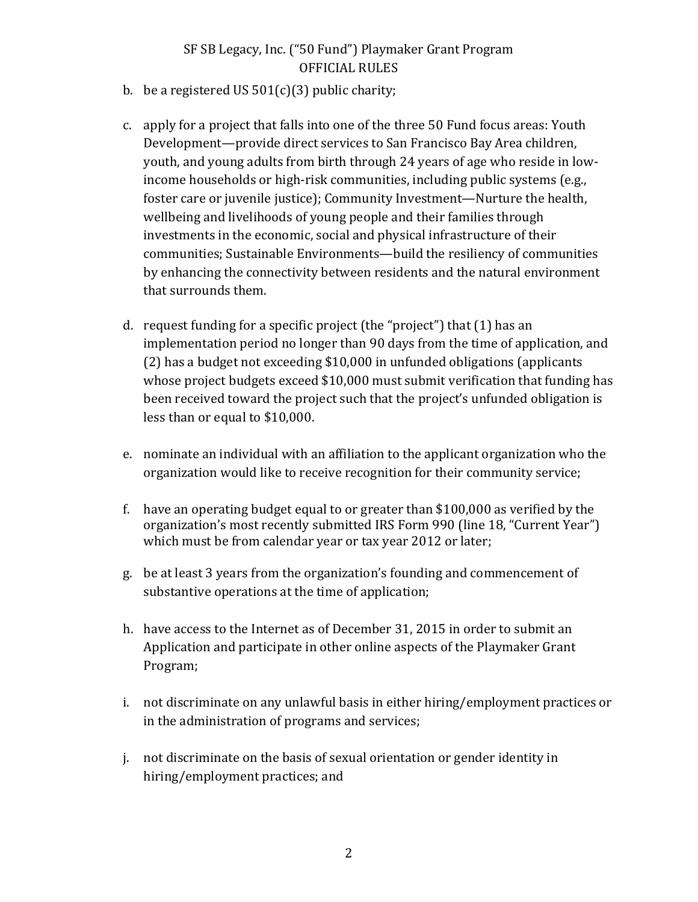- b. be a registered US  $501(c)(3)$  public charity;
- c. apply for a project that falls into one of the three 50 Fund focus areas: Youth Development—provide direct services to San Francisco Bay Area children, youth, and young adults from birth through 24 years of age who reside in lowincome households or high-risk communities, including public systems (e.g., foster care or juvenile justice); Community Investment—Nurture the health, wellbeing and livelihoods of young people and their families through investments in the economic, social and physical infrastructure of their communities; Sustainable Environments—build the resiliency of communities by enhancing the connectivity between residents and the natural environment that surrounds them.
- d. request funding for a specific project (the "project") that  $(1)$  has an implementation period no longer than 90 days from the time of application, and (2) has a budget not exceeding \$10,000 in unfunded obligations (applicants whose project budgets exceed \$10,000 must submit verification that funding has been received toward the project such that the project's unfunded obligation is less than or equal to \$10,000.
- e. nominate an individual with an affiliation to the applicant organization who the organization would like to receive recognition for their community service;
- f. have an operating budget equal to or greater than  $$100,000$  as verified by the organization's most recently submitted IRS Form 990 (line 18, "Current Year") which must be from calendar year or tax year 2012 or later;
- g. be at least 3 years from the organization's founding and commencement of substantive operations at the time of application;
- h. have access to the Internet as of December 31, 2015 in order to submit an Application and participate in other online aspects of the Playmaker Grant Program;
- i. not discriminate on any unlawful basis in either hiring/employment practices or in the administration of programs and services;
- j. not discriminate on the basis of sexual orientation or gender identity in hiring/employment practices; and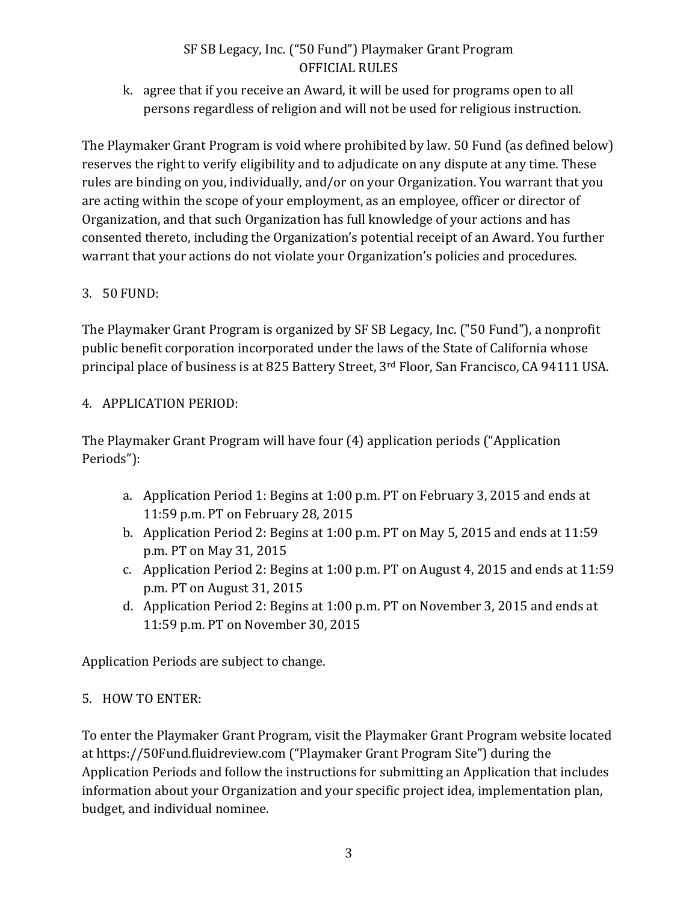k. agree that if you receive an Award, it will be used for programs open to all persons regardless of religion and will not be used for religious instruction.

The Playmaker Grant Program is void where prohibited by law. 50 Fund (as defined below) reserves the right to verify eligibility and to adjudicate on any dispute at any time. These rules are binding on you, individually, and/or on your Organization. You warrant that you are acting within the scope of your employment, as an employee, officer or director of Organization, and that such Organization has full knowledge of your actions and has consented thereto, including the Organization's potential receipt of an Award. You further warrant that your actions do not violate your Organization's policies and procedures.

# 3. 50 FUND:

The Playmaker Grant Program is organized by SF SB Legacy, Inc. ("50 Fund"), a nonprofit public benefit corporation incorporated under the laws of the State of California whose principal place of business is at 825 Battery Street, 3<sup>rd</sup> Floor, San Francisco, CA 94111 USA.

# 4. APPLICATION PERIOD:

The Playmaker Grant Program will have four (4) application periods ("Application Periods"):

- a. Application Period 1: Begins at 1:00 p.m. PT on February 3, 2015 and ends at 11:59 p.m. PT on February 28, 2015
- b. Application Period 2: Begins at  $1:00$  p.m. PT on May 5, 2015 and ends at  $11:59$ p.m. PT on May 31, 2015
- c. Application Period 2: Begins at 1:00 p.m. PT on August 4, 2015 and ends at 11:59 p.m. PT on August 31, 2015
- d. Application Period 2: Begins at 1:00 p.m. PT on November 3, 2015 and ends at 11:59 p.m. PT on November 30, 2015

Application Periods are subject to change.

## 5. HOW TO ENTER:

To enter the Playmaker Grant Program, visit the Playmaker Grant Program website located at https://50Fund.fluidreview.com ("Playmaker Grant Program Site") during the Application Periods and follow the instructions for submitting an Application that includes information about your Organization and your specific project idea, implementation plan, budget, and individual nominee.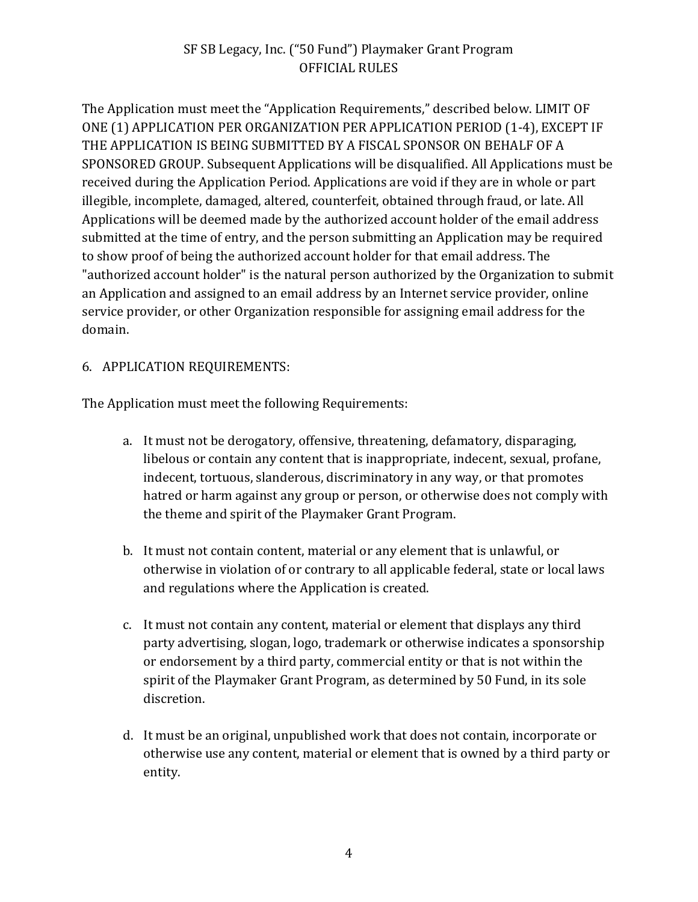The Application must meet the "Application Requirements," described below. LIMIT OF ONE (1) APPLICATION PER ORGANIZATION PER APPLICATION PERIOD (1-4), EXCEPT IF THE APPLICATION IS BEING SUBMITTED BY A FISCAL SPONSOR ON BEHALF OF A SPONSORED GROUP. Subsequent Applications will be disqualified. All Applications must be received during the Application Period. Applications are void if they are in whole or part illegible, incomplete, damaged, altered, counterfeit, obtained through fraud, or late. All Applications will be deemed made by the authorized account holder of the email address submitted at the time of entry, and the person submitting an Application may be required to show proof of being the authorized account holder for that email address. The "authorized account holder" is the natural person authorized by the Organization to submit an Application and assigned to an email address by an Internet service provider, online service provider, or other Organization responsible for assigning email address for the domain.

### 6. APPLICATION REQUIREMENTS:

The Application must meet the following Requirements:

- a. It must not be derogatory, offensive, threatening, defamatory, disparaging, libelous or contain any content that is inappropriate, indecent, sexual, profane, indecent, tortuous, slanderous, discriminatory in any way, or that promotes hatred or harm against any group or person, or otherwise does not comply with the theme and spirit of the Playmaker Grant Program.
- b. It must not contain content, material or any element that is unlawful, or otherwise in violation of or contrary to all applicable federal, state or local laws and regulations where the Application is created.
- c. It must not contain any content, material or element that displays any third party advertising, slogan, logo, trademark or otherwise indicates a sponsorship or endorsement by a third party, commercial entity or that is not within the spirit of the Playmaker Grant Program, as determined by 50 Fund, in its sole discretion.
- d. It must be an original, unpublished work that does not contain, incorporate or otherwise use any content, material or element that is owned by a third party or entity.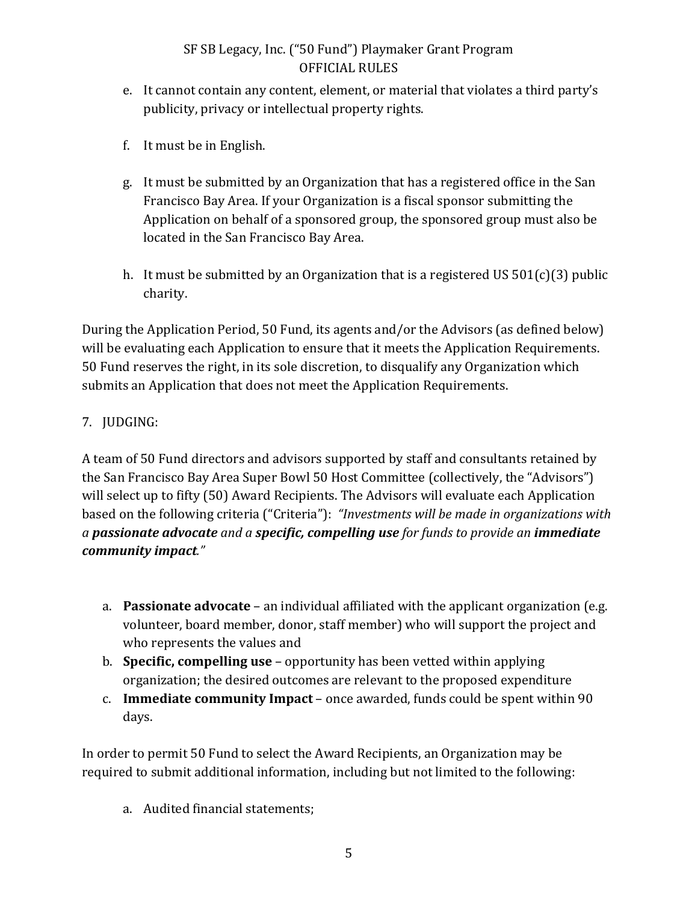- e. It cannot contain any content, element, or material that violates a third party's publicity, privacy or intellectual property rights.
- f. It must be in English.
- g. It must be submitted by an Organization that has a registered office in the San Francisco Bay Area. If your Organization is a fiscal sponsor submitting the Application on behalf of a sponsored group, the sponsored group must also be located in the San Francisco Bay Area.
- h. It must be submitted by an Organization that is a registered US  $501(c)(3)$  public charity.

During the Application Period, 50 Fund, its agents and/or the Advisors (as defined below) will be evaluating each Application to ensure that it meets the Application Requirements. 50 Fund reserves the right, in its sole discretion, to disqualify any Organization which submits an Application that does not meet the Application Requirements.

## 7. JUDGING:

A team of 50 Fund directors and advisors supported by staff and consultants retained by the San Francisco Bay Area Super Bowl 50 Host Committee (collectively, the "Advisors") will select up to fifty (50) Award Recipients. The Advisors will evaluate each Application based on the following criteria ("Criteria"): *"Investments will be made in organizations with a passionate advocate and a specific, compelling use for funds to provide an immediate community impact."* 

- a. **Passionate advocate** an individual affiliated with the applicant organization (e.g. volunteer, board member, donor, staff member) who will support the project and who represents the values and
- b. **Specific, compelling use** opportunity has been vetted within applying organization; the desired outcomes are relevant to the proposed expenditure
- c. **Immediate community Impact** once awarded, funds could be spent within 90 days.

In order to permit 50 Fund to select the Award Recipients, an Organization may be required to submit additional information, including but not limited to the following:

a. Audited financial statements;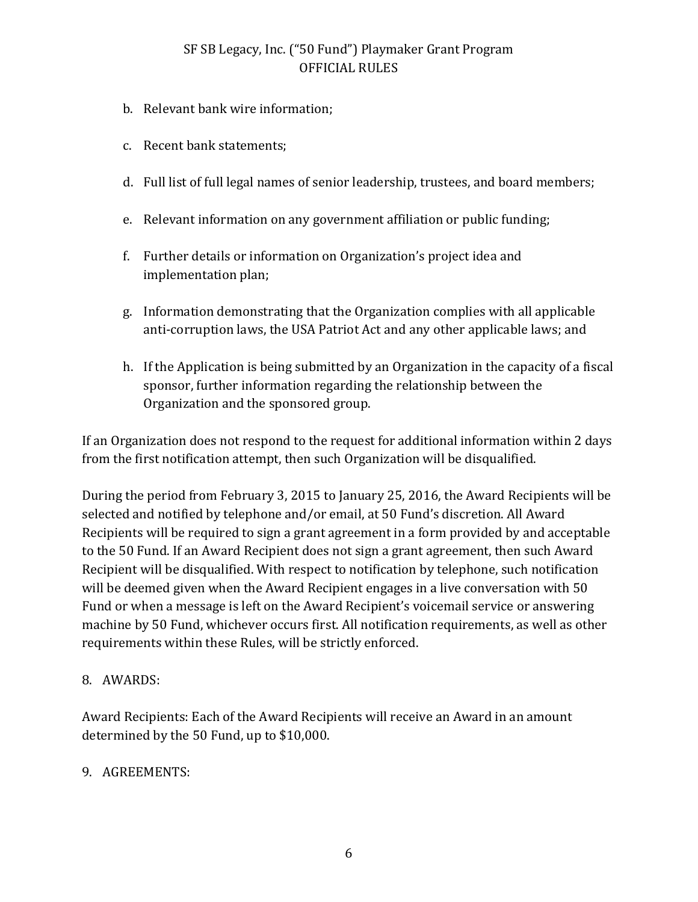- b. Relevant bank wire information;
- c. Recent bank statements;
- d. Full list of full legal names of senior leadership, trustees, and board members;
- e. Relevant information on any government affiliation or public funding:
- f. Further details or information on Organization's project idea and implementation plan;
- g. Information demonstrating that the Organization complies with all applicable anti-corruption laws, the USA Patriot Act and any other applicable laws; and
- h. If the Application is being submitted by an Organization in the capacity of a fiscal sponsor, further information regarding the relationship between the Organization and the sponsored group.

If an Organization does not respond to the request for additional information within 2 days from the first notification attempt, then such Organization will be disqualified.

During the period from February 3, 2015 to January 25, 2016, the Award Recipients will be selected and notified by telephone and/or email, at 50 Fund's discretion. All Award Recipients will be required to sign a grant agreement in a form provided by and acceptable to the 50 Fund. If an Award Recipient does not sign a grant agreement, then such Award Recipient will be disqualified. With respect to notification by telephone, such notification will be deemed given when the Award Recipient engages in a live conversation with 50 Fund or when a message is left on the Award Recipient's voicemail service or answering machine by 50 Fund, whichever occurs first. All notification requirements, as well as other requirements within these Rules, will be strictly enforced.

### 8. AWARDS:

Award Recipients: Each of the Award Recipients will receive an Award in an amount determined by the 50 Fund, up to \$10,000.

### 9. AGREEMENTS: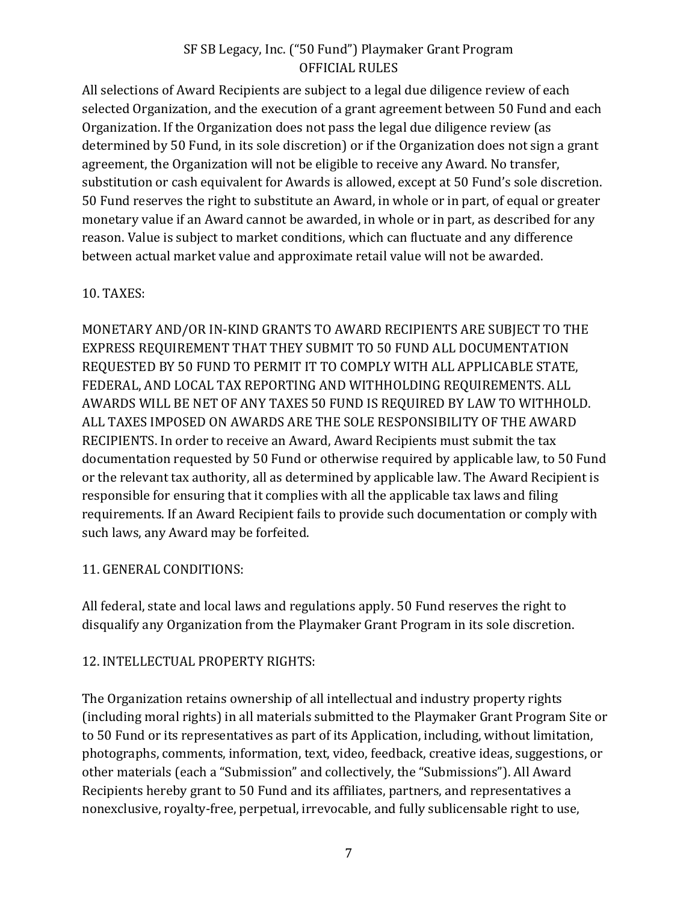All selections of Award Recipients are subject to a legal due diligence review of each selected Organization, and the execution of a grant agreement between 50 Fund and each Organization. If the Organization does not pass the legal due diligence review (as determined by 50 Fund, in its sole discretion) or if the Organization does not sign a grant agreement, the Organization will not be eligible to receive any Award. No transfer, substitution or cash equivalent for Awards is allowed, except at 50 Fund's sole discretion. 50 Fund reserves the right to substitute an Award, in whole or in part, of equal or greater monetary value if an Award cannot be awarded, in whole or in part, as described for any reason. Value is subject to market conditions, which can fluctuate and any difference between actual market value and approximate retail value will not be awarded.

#### 10. TAXES:

MONETARY AND/OR IN-KIND GRANTS TO AWARD RECIPIENTS ARE SUBJECT TO THE EXPRESS REQUIREMENT THAT THEY SUBMIT TO 50 FUND ALL DOCUMENTATION REQUESTED BY 50 FUND TO PERMIT IT TO COMPLY WITH ALL APPLICABLE STATE, FEDERAL, AND LOCAL TAX REPORTING AND WITHHOLDING REQUIREMENTS. ALL AWARDS WILL BE NET OF ANY TAXES 50 FUND IS REQUIRED BY LAW TO WITHHOLD. ALL TAXES IMPOSED ON AWARDS ARE THE SOLE RESPONSIBILITY OF THE AWARD RECIPIENTS. In order to receive an Award, Award Recipients must submit the tax documentation requested by 50 Fund or otherwise required by applicable law, to 50 Fund or the relevant tax authority, all as determined by applicable law. The Award Recipient is responsible for ensuring that it complies with all the applicable tax laws and filing requirements. If an Award Recipient fails to provide such documentation or comply with such laws, any Award may be forfeited.

### 11. GENERAL CONDITIONS:

All federal, state and local laws and regulations apply. 50 Fund reserves the right to disqualify any Organization from the Playmaker Grant Program in its sole discretion.

### 12. INTELLECTUAL PROPERTY RIGHTS:

The Organization retains ownership of all intellectual and industry property rights (including moral rights) in all materials submitted to the Playmaker Grant Program Site or to 50 Fund or its representatives as part of its Application, including, without limitation, photographs, comments, information, text, video, feedback, creative ideas, suggestions, or other materials (each a "Submission" and collectively, the "Submissions"). All Award Recipients hereby grant to 50 Fund and its affiliates, partners, and representatives a nonexclusive, royalty-free, perpetual, irrevocable, and fully sublicensable right to use,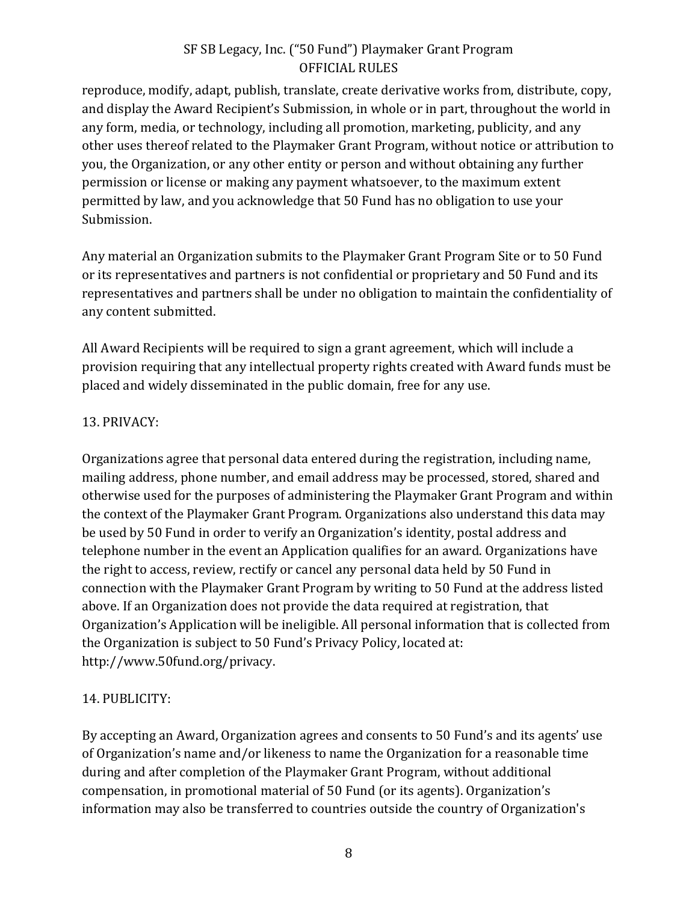reproduce, modify, adapt, publish, translate, create derivative works from, distribute, copy, and display the Award Recipient's Submission, in whole or in part, throughout the world in any form, media, or technology, including all promotion, marketing, publicity, and any other uses thereof related to the Playmaker Grant Program, without notice or attribution to you, the Organization, or any other entity or person and without obtaining any further permission or license or making any payment whatsoever, to the maximum extent permitted by law, and you acknowledge that 50 Fund has no obligation to use your Submission. 

Any material an Organization submits to the Playmaker Grant Program Site or to 50 Fund or its representatives and partners is not confidential or proprietary and 50 Fund and its representatives and partners shall be under no obligation to maintain the confidentiality of any content submitted.

All Award Recipients will be required to sign a grant agreement, which will include a provision requiring that any intellectual property rights created with Award funds must be placed and widely disseminated in the public domain, free for any use.

### 13. PRIVACY:

Organizations agree that personal data entered during the registration, including name, mailing address, phone number, and email address may be processed, stored, shared and otherwise used for the purposes of administering the Playmaker Grant Program and within the context of the Playmaker Grant Program. Organizations also understand this data may be used by 50 Fund in order to verify an Organization's identity, postal address and telephone number in the event an Application qualifies for an award. Organizations have the right to access, review, rectify or cancel any personal data held by 50 Fund in connection with the Playmaker Grant Program by writing to 50 Fund at the address listed above. If an Organization does not provide the data required at registration, that Organization's Application will be ineligible. All personal information that is collected from the Organization is subject to 50 Fund's Privacy Policy, located at: http://www.50fund.org/privacy.

### 14. PUBLICITY:

By accepting an Award, Organization agrees and consents to 50 Fund's and its agents' use of Organization's name and/or likeness to name the Organization for a reasonable time during and after completion of the Playmaker Grant Program, without additional compensation, in promotional material of 50 Fund (or its agents). Organization's information may also be transferred to countries outside the country of Organization's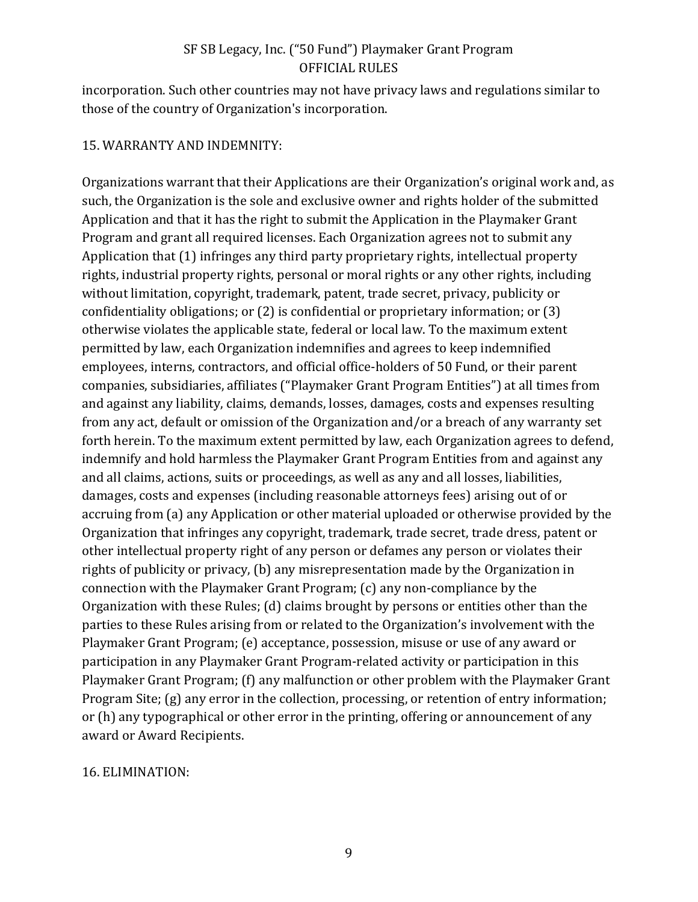incorporation. Such other countries may not have privacy laws and regulations similar to those of the country of Organization's incorporation.

#### 15. WARRANTY AND INDEMNITY:

Organizations warrant that their Applications are their Organization's original work and, as such, the Organization is the sole and exclusive owner and rights holder of the submitted Application and that it has the right to submit the Application in the Playmaker Grant Program and grant all required licenses. Each Organization agrees not to submit any Application that  $(1)$  infringes any third party proprietary rights, intellectual property rights, industrial property rights, personal or moral rights or any other rights, including without limitation, copyright, trademark, patent, trade secret, privacy, publicity or confidentiality obligations; or  $(2)$  is confidential or proprietary information; or  $(3)$ otherwise violates the applicable state, federal or local law. To the maximum extent permitted by law, each Organization indemnifies and agrees to keep indemnified employees, interns, contractors, and official office-holders of 50 Fund, or their parent companies, subsidiaries, affiliates ("Playmaker Grant Program Entities") at all times from and against any liability, claims, demands, losses, damages, costs and expenses resulting from any act, default or omission of the Organization and/or a breach of any warranty set forth herein. To the maximum extent permitted by law, each Organization agrees to defend, indemnify and hold harmless the Playmaker Grant Program Entities from and against any and all claims, actions, suits or proceedings, as well as any and all losses, liabilities, damages, costs and expenses (including reasonable attorneys fees) arising out of or accruing from (a) any Application or other material uploaded or otherwise provided by the Organization that infringes any copyright, trademark, trade secret, trade dress, patent or other intellectual property right of any person or defames any person or violates their rights of publicity or privacy, (b) any misrepresentation made by the Organization in connection with the Playmaker Grant Program;  $(c)$  any non-compliance by the Organization with these Rules; (d) claims brought by persons or entities other than the parties to these Rules arising from or related to the Organization's involvement with the Playmaker Grant Program; (e) acceptance, possession, misuse or use of any award or participation in any Playmaker Grant Program-related activity or participation in this Playmaker Grant Program; (f) any malfunction or other problem with the Playmaker Grant Program Site;  $(g)$  any error in the collection, processing, or retention of entry information; or (h) any typographical or other error in the printing, offering or announcement of any award or Award Recipients.

#### 16. ELIMINATION: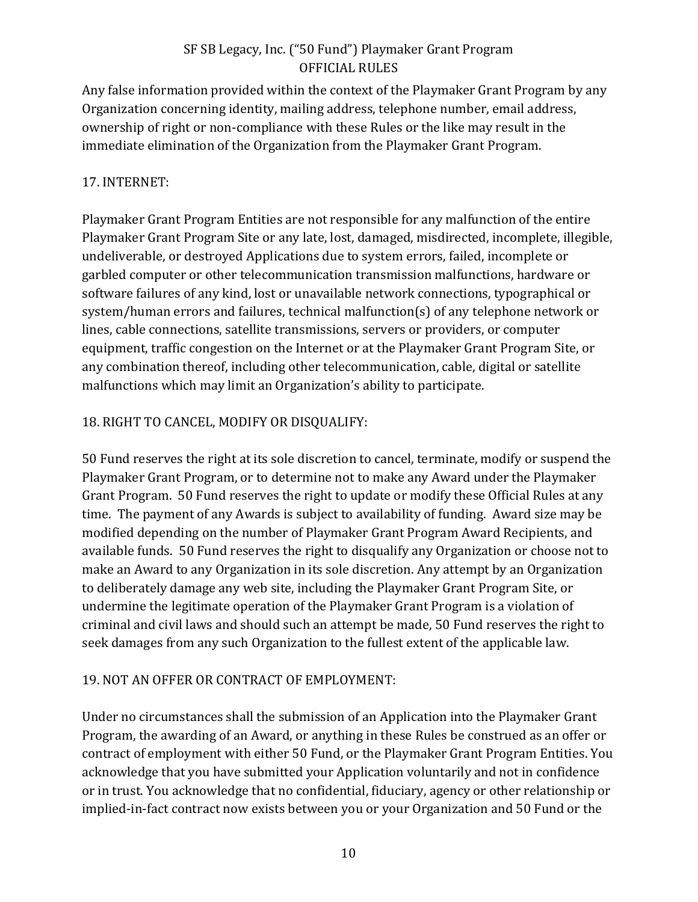Any false information provided within the context of the Playmaker Grant Program by any Organization concerning identity, mailing address, telephone number, email address, ownership of right or non-compliance with these Rules or the like may result in the immediate elimination of the Organization from the Playmaker Grant Program.

### 17. INTERNET:

Playmaker Grant Program Entities are not responsible for any malfunction of the entire Playmaker Grant Program Site or any late, lost, damaged, misdirected, incomplete, illegible, undeliverable, or destroyed Applications due to system errors, failed, incomplete or garbled computer or other telecommunication transmission malfunctions, hardware or software failures of any kind, lost or unavailable network connections, typographical or system/human errors and failures, technical malfunction(s) of any telephone network or lines, cable connections, satellite transmissions, servers or providers, or computer equipment, traffic congestion on the Internet or at the Playmaker Grant Program Site, or any combination thereof, including other telecommunication, cable, digital or satellite malfunctions which may limit an Organization's ability to participate.

# 18. RIGHT TO CANCEL, MODIFY OR DISQUALIFY:

50 Fund reserves the right at its sole discretion to cancel, terminate, modify or suspend the Playmaker Grant Program, or to determine not to make any Award under the Playmaker Grant Program. 50 Fund reserves the right to update or modify these Official Rules at any time. The payment of any Awards is subject to availability of funding. Award size may be modified depending on the number of Playmaker Grant Program Award Recipients, and available funds. 50 Fund reserves the right to disqualify any Organization or choose not to make an Award to any Organization in its sole discretion. Any attempt by an Organization to deliberately damage any web site, including the Playmaker Grant Program Site, or undermine the legitimate operation of the Playmaker Grant Program is a violation of criminal and civil laws and should such an attempt be made, 50 Fund reserves the right to seek damages from any such Organization to the fullest extent of the applicable law.

## 19. NOT AN OFFER OR CONTRACT OF EMPLOYMENT:

Under no circumstances shall the submission of an Application into the Playmaker Grant Program, the awarding of an Award, or anything in these Rules be construed as an offer or contract of employment with either 50 Fund, or the Playmaker Grant Program Entities. You acknowledge that you have submitted your Application voluntarily and not in confidence or in trust. You acknowledge that no confidential, fiduciary, agency or other relationship or implied-in-fact contract now exists between you or your Organization and 50 Fund or the